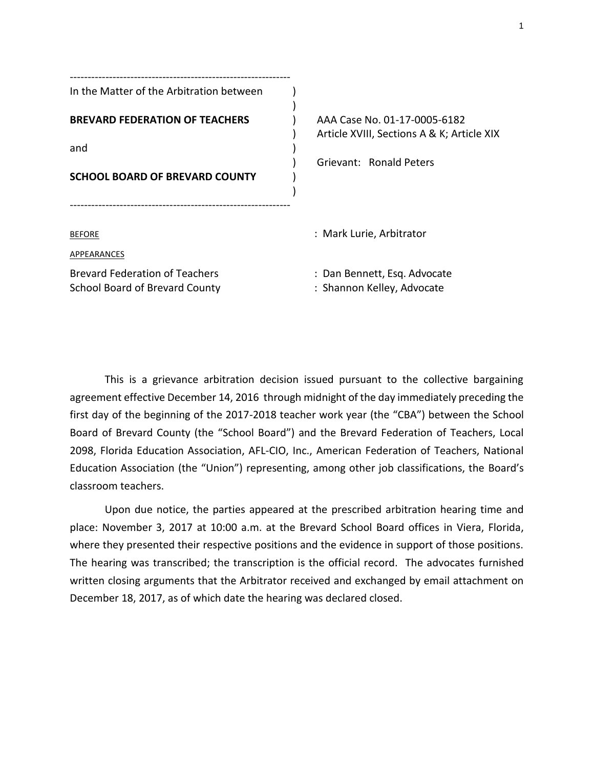| In the Matter of the Arbitration between                                              |                                                                                                       |
|---------------------------------------------------------------------------------------|-------------------------------------------------------------------------------------------------------|
| <b>BREVARD FEDERATION OF TEACHERS</b><br>and<br><b>SCHOOL BOARD OF BREVARD COUNTY</b> | AAA Case No. 01-17-0005-6182<br>Article XVIII, Sections A & K; Article XIX<br>Grievant: Ronald Peters |
| <b>BEFORE</b><br>APPEARANCES                                                          | : Mark Lurie, Arbitrator                                                                              |
| <b>Brevard Federation of Teachers</b><br><b>School Board of Brevard County</b>        | : Dan Bennett, Esq. Advocate<br>: Shannon Kelley, Advocate                                            |

This is a grievance arbitration decision issued pursuant to the collective bargaining agreement effective December 14, 2016 through midnight of the day immediately preceding the first day of the beginning of the 2017-2018 teacher work year (the "CBA") between the School Board of Brevard County (the "School Board") and the Brevard Federation of Teachers, Local 2098, Florida Education Association, AFL-CIO, Inc., American Federation of Teachers, National Education Association (the "Union") representing, among other job classifications, the Board's classroom teachers.

Upon due notice, the parties appeared at the prescribed arbitration hearing time and place: November 3, 2017 at 10:00 a.m. at the Brevard School Board offices in Viera, Florida, where they presented their respective positions and the evidence in support of those positions. The hearing was transcribed; the transcription is the official record. The advocates furnished written closing arguments that the Arbitrator received and exchanged by email attachment on December 18, 2017, as of which date the hearing was declared closed.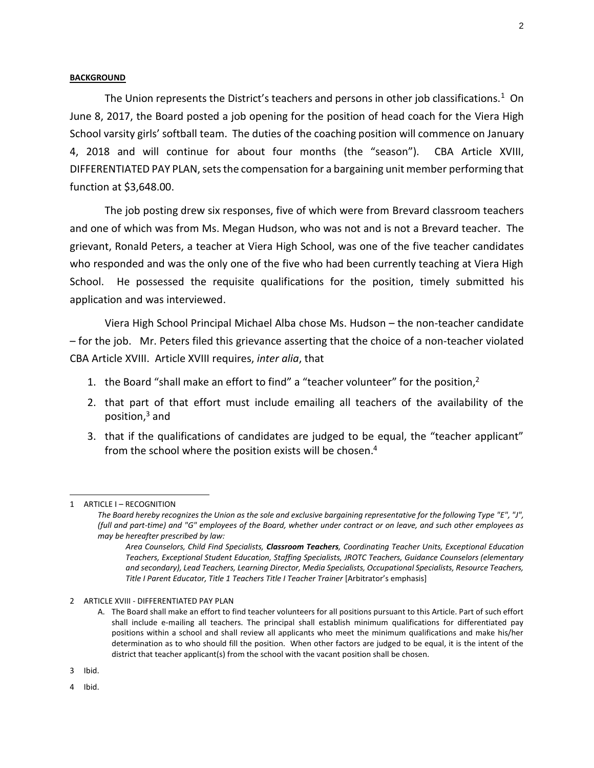## **BACKGROUND**

The Union represents the District's teachers and persons in other job classifications.<sup>1</sup> On June 8, 2017, the Board posted a job opening for the position of head coach for the Viera High School varsity girls' softball team. The duties of the coaching position will commence on January 4, 2018 and will continue for about four months (the "season"). CBA Article XVIII, DIFFERENTIATED PAY PLAN, sets the compensation for a bargaining unit member performing that function at \$3,648.00.

The job posting drew six responses, five of which were from Brevard classroom teachers and one of which was from Ms. Megan Hudson, who was not and is not a Brevard teacher. The grievant, Ronald Peters, a teacher at Viera High School, was one of the five teacher candidates who responded and was the only one of the five who had been currently teaching at Viera High School. He possessed the requisite qualifications for the position, timely submitted his application and was interviewed.

Viera High School Principal Michael Alba chose Ms. Hudson – the non-teacher candidate – for the job. Mr. Peters filed this grievance asserting that the choice of a non-teacher violated CBA Article XVIII. Article XVIII requires, *inter alia*, that

- 1. the Board "shall make an effort to find" a "teacher volunteer" for the position,<sup>2</sup>
- 2. that part of that effort must include emailing all teachers of the availability of the position,<sup>3</sup> and
- 3. that if the qualifications of candidates are judged to be equal, the "teacher applicant" from the school where the position exists will be chosen. 4

l

<sup>1</sup> ARTICLE I – RECOGNITION

*The Board hereby recognizes the Union as the sole and exclusive bargaining representative for the following Type "E", "J", (full and part-time) and "G" employees of the Board, whether under contract or on leave, and such other employees as may be hereafter prescribed by law:*

*Area Counselors, Child Find Specialists, Classroom Teachers, Coordinating Teacher Units, Exceptional Education Teachers, Exceptional Student Education, Staffing Specialists, JROTC Teachers, Guidance Counselors (elementary and secondary), Lead Teachers, Learning Director, Media Specialists, Occupational Specialists, Resource Teachers, Title I Parent Educator, Title 1 Teachers Title I Teacher Trainer* [Arbitrator's emphasis]

<sup>2</sup> ARTICLE XVIII - DIFFERENTIATED PAY PLAN

A. The Board shall make an effort to find teacher volunteers for all positions pursuant to this Article. Part of such effort shall include e-mailing all teachers. The principal shall establish minimum qualifications for differentiated pay positions within a school and shall review all applicants who meet the minimum qualifications and make his/her determination as to who should fill the position. When other factors are judged to be equal, it is the intent of the district that teacher applicant(s) from the school with the vacant position shall be chosen.

<sup>3</sup> Ibid.

<sup>4</sup> Ibid.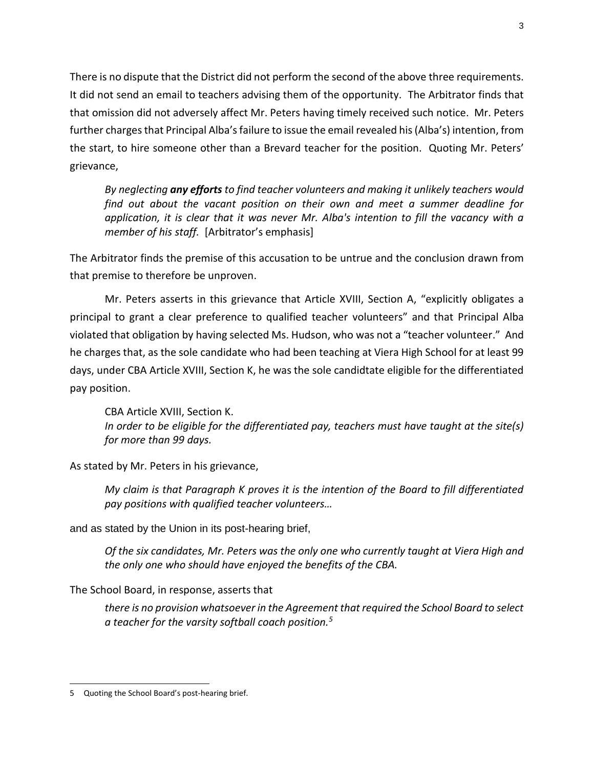There is no dispute that the District did not perform the second of the above three requirements. It did not send an email to teachers advising them of the opportunity. The Arbitrator finds that that omission did not adversely affect Mr. Peters having timely received such notice. Mr. Peters further charges that Principal Alba's failure to issue the email revealed his (Alba's) intention, from the start, to hire someone other than a Brevard teacher for the position. Quoting Mr. Peters' grievance,

*By neglecting any efforts to find teacher volunteers and making it unlikely teachers would find out about the vacant position on their own and meet a summer deadline for application, it is clear that it was never Mr. Alba's intention to fill the vacancy with a member of his staff.* [Arbitrator's emphasis]

The Arbitrator finds the premise of this accusation to be untrue and the conclusion drawn from that premise to therefore be unproven.

Mr. Peters asserts in this grievance that Article XVIII, Section A, "explicitly obligates a principal to grant a clear preference to qualified teacher volunteers" and that Principal Alba violated that obligation by having selected Ms. Hudson, who was not a "teacher volunteer." And he charges that, as the sole candidate who had been teaching at Viera High School for at least 99 days, under CBA Article XVIII, Section K, he was the sole candidtate eligible for the differentiated pay position.

CBA Article XVIII, Section K. *In order to be eligible for the differentiated pay, teachers must have taught at the site(s) for more than 99 days.*

As stated by Mr. Peters in his grievance,

*My claim is that Paragraph K proves it is the intention of the Board to fill differentiated pay positions with qualified teacher volunteers…*

and as stated by the Union in its post-hearing brief,

*Of the six candidates, Mr. Peters was the only one who currently taught at Viera High and the only one who should have enjoyed the benefits of the CBA.*

The School Board, in response, asserts that

*there is no provision whatsoever in the Agreement that required the School Board to select a teacher for the varsity softball coach position.<sup>5</sup>*

 $\overline{a}$ 5 Quoting the School Board's post-hearing brief.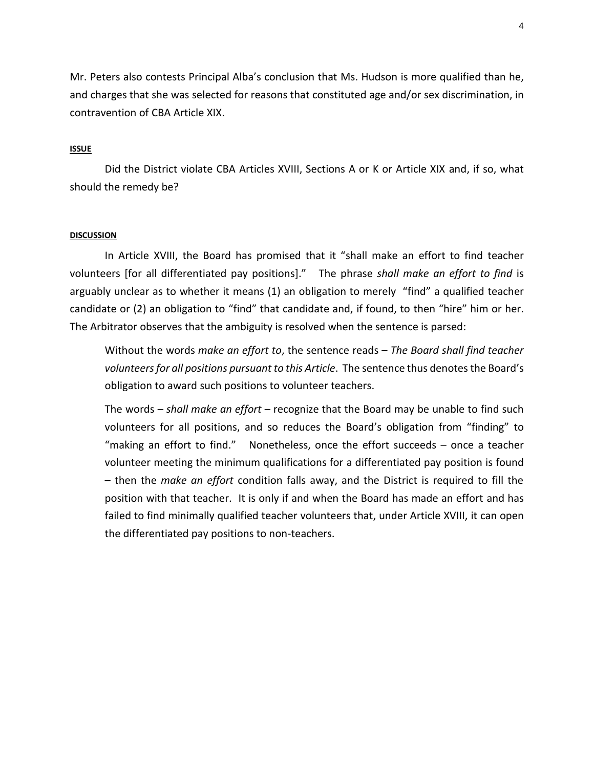Mr. Peters also contests Principal Alba's conclusion that Ms. Hudson is more qualified than he, and charges that she was selected for reasons that constituted age and/or sex discrimination, in contravention of CBA Article XIX.

# **ISSUE**

Did the District violate CBA Articles XVIII, Sections A or K or Article XIX and, if so, what should the remedy be?

## **DISCUSSION**

In Article XVIII, the Board has promised that it "shall make an effort to find teacher volunteers [for all differentiated pay positions]." The phrase *shall make an effort to find* is arguably unclear as to whether it means (1) an obligation to merely "find" a qualified teacher candidate or (2) an obligation to "find" that candidate and, if found, to then "hire" him or her. The Arbitrator observes that the ambiguity is resolved when the sentence is parsed:

Without the words *make an effort to*, the sentence reads – *The Board shall find teacher*  volunteers for all positions pursuant to this Article. The sentence thus denotes the Board's obligation to award such positions to volunteer teachers.

The words – *shall make an effort* – recognize that the Board may be unable to find such volunteers for all positions, and so reduces the Board's obligation from "finding" to "making an effort to find." Nonetheless, once the effort succeeds – once a teacher volunteer meeting the minimum qualifications for a differentiated pay position is found – then the *make an effort* condition falls away, and the District is required to fill the position with that teacher. It is only if and when the Board has made an effort and has failed to find minimally qualified teacher volunteers that, under Article XVIII, it can open the differentiated pay positions to non-teachers.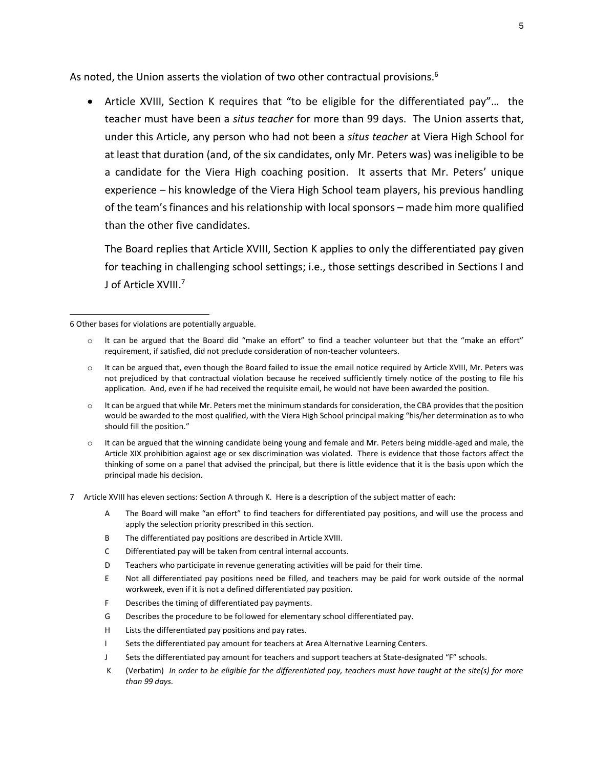As noted, the Union asserts the violation of two other contractual provisions.<sup>6</sup>

 Article XVIII, Section K requires that "to be eligible for the differentiated pay"… the teacher must have been a *situs teacher* for more than 99 days. The Union asserts that, under this Article, any person who had not been a *situs teacher* at Viera High School for at least that duration (and, of the six candidates, only Mr. Peters was) was ineligible to be a candidate for the Viera High coaching position. It asserts that Mr. Peters' unique experience – his knowledge of the Viera High School team players, his previous handling of the team's finances and his relationship with local sponsors – made him more qualified than the other five candidates.

The Board replies that Article XVIII, Section K applies to only the differentiated pay given for teaching in challenging school settings; i.e., those settings described in Sections I and J of Article XVIII.<sup>7</sup>

6 Other bases for violations are potentially arguable.

 $\overline{a}$ 

- $\circ$  It can be argued that the Board did "make an effort" to find a teacher volunteer but that the "make an effort" requirement, if satisfied, did not preclude consideration of non-teacher volunteers.
- o It can be argued that, even though the Board failed to issue the email notice required by Article XVIII, Mr. Peters was not prejudiced by that contractual violation because he received sufficiently timely notice of the posting to file his application. And, even if he had received the requisite email, he would not have been awarded the position.
- o It can be argued that while Mr. Peters met the minimum standards for consideration, the CBA provides that the position would be awarded to the most qualified, with the Viera High School principal making "his/her determination as to who should fill the position."
- o It can be argued that the winning candidate being young and female and Mr. Peters being middle-aged and male, the Article XIX prohibition against age or sex discrimination was violated. There is evidence that those factors affect the thinking of some on a panel that advised the principal, but there is little evidence that it is the basis upon which the principal made his decision.
- 7 Article XVIII has eleven sections: Section A through K. Here is a description of the subject matter of each:
	- A The Board will make "an effort" to find teachers for differentiated pay positions, and will use the process and apply the selection priority prescribed in this section.
	- B The differentiated pay positions are described in Article XVIII.
	- C Differentiated pay will be taken from central internal accounts.
	- D Teachers who participate in revenue generating activities will be paid for their time.
	- E Not all differentiated pay positions need be filled, and teachers may be paid for work outside of the normal workweek, even if it is not a defined differentiated pay position.
	- F Describes the timing of differentiated pay payments.
	- G Describes the procedure to be followed for elementary school differentiated pay.
	- H Lists the differentiated pay positions and pay rates.
	- I Sets the differentiated pay amount for teachers at Area Alternative Learning Centers.
	- J Sets the differentiated pay amount for teachers and support teachers at State-designated "F" schools.
	- K (Verbatim) *In order to be eligible for the differentiated pay, teachers must have taught at the site(s) for more than 99 days.*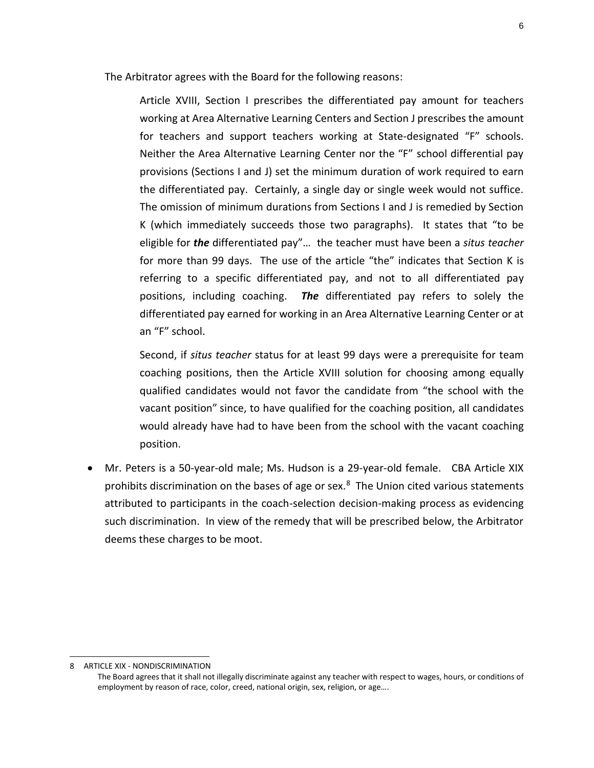The Arbitrator agrees with the Board for the following reasons:

Article XVIII, Section I prescribes the differentiated pay amount for teachers working at Area Alternative Learning Centers and Section J prescribes the amount for teachers and support teachers working at State-designated "F" schools. Neither the Area Alternative Learning Center nor the "F" school differential pay provisions (Sections I and J) set the minimum duration of work required to earn the differentiated pay. Certainly, a single day or single week would not suffice. The omission of minimum durations from Sections I and J is remedied by Section K (which immediately succeeds those two paragraphs). It states that "to be eligible for *the* differentiated pay"… the teacher must have been a *situs teacher* for more than 99 days. The use of the article "the" indicates that Section K is referring to a specific differentiated pay, and not to all differentiated pay positions, including coaching. *The* differentiated pay refers to solely the differentiated pay earned for working in an Area Alternative Learning Center or at an "F" school.

Second, if *situs teacher* status for at least 99 days were a prerequisite for team coaching positions, then the Article XVIII solution for choosing among equally qualified candidates would not favor the candidate from "the school with the vacant position" since, to have qualified for the coaching position, all candidates would already have had to have been from the school with the vacant coaching position.

 Mr. Peters is a 50-year-old male; Ms. Hudson is a 29-year-old female. CBA Article XIX prohibits discrimination on the bases of age or sex.<sup>8</sup> The Union cited various statements attributed to participants in the coach-selection decision-making process as evidencing such discrimination. In view of the remedy that will be prescribed below, the Arbitrator deems these charges to be moot.

l

<sup>8</sup> ARTICLE XIX - NONDISCRIMINATION

The Board agrees that it shall not illegally discriminate against any teacher with respect to wages, hours, or conditions of employment by reason of race, color, creed, national origin, sex, religion, or age….